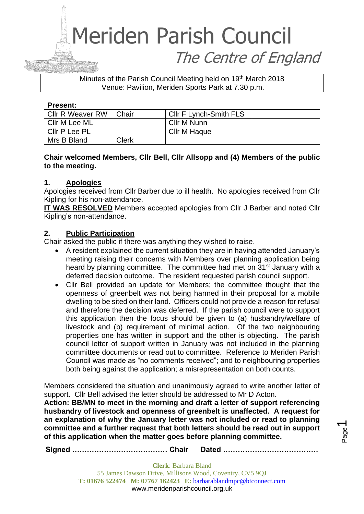Minutes of the Parish Council Meeting held on 19<sup>th</sup> March 2018 Venue: Pavilion, Meriden Sports Park at 7.30 p.m.

| <b>Present:</b>         |       |                        |  |
|-------------------------|-------|------------------------|--|
| <b>CIIr R Weaver RW</b> | Chair | Cllr F Lynch-Smith FLS |  |
| Cllr M Lee ML           |       | Cllr M Nunn            |  |
| Cllr P Lee PL           |       | Cllr M Haque           |  |
| Mrs B Bland             | Clerk |                        |  |

#### **Chair welcomed Members, Cllr Bell, Cllr Allsopp and (4) Members of the public to the meeting.**

#### **1. Apologies**

Apologies received from Cllr Barber due to ill health. No apologies received from Cllr Kipling for his non-attendance.

**IT WAS RESOLVED** Members accepted apologies from Cllr J Barber and noted Cllr Kipling's non-attendance.

#### **2. Public Participation**

Chair asked the public if there was anything they wished to raise.

- A resident explained the current situation they are in having attended January's meeting raising their concerns with Members over planning application being heard by planning committee. The committee had met on 31<sup>st</sup> January with a deferred decision outcome. The resident requested parish council support.
- Cllr Bell provided an update for Members; the committee thought that the openness of greenbelt was not being harmed in their proposal for a mobile dwelling to be sited on their land. Officers could not provide a reason for refusal and therefore the decision was deferred. If the parish council were to support this application then the focus should be given to (a) husbandry/welfare of livestock and (b) requirement of minimal action. Of the two neighbouring properties one has written in support and the other is objecting. The parish council letter of support written in January was not included in the planning committee documents or read out to committee. Reference to Meriden Parish Council was made as "no comments received"; and to neighbouring properties both being against the application; a misrepresentation on both counts.

Members considered the situation and unanimously agreed to write another letter of support. Cllr Bell advised the letter should be addressed to Mr D Acton.

**Action: BB/MN to meet in the morning and draft a letter of support referencing husbandry of livestock and openness of greenbelt is unaffected. A request for an explanation of why the January letter was not included or read to planning committee and a further request that both letters should be read out in support of this application when the matter goes before planning committee.**

**Signed ………………………………… Chair Dated …………………………………**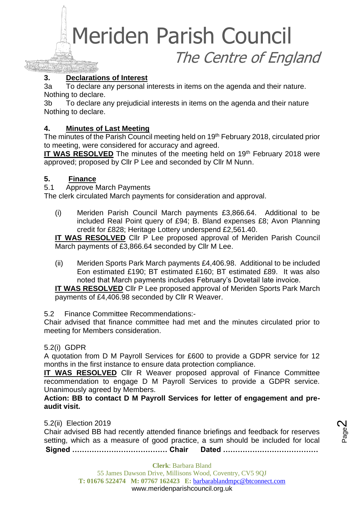#### **3. Declarations of Interest**

3a To declare any personal interests in items on the agenda and their nature. Nothing to declare.

3b To declare any prejudicial interests in items on the agenda and their nature Nothing to declare.

#### **4. Minutes of Last Meeting**

The minutes of the Parish Council meeting held on 19<sup>th</sup> February 2018, circulated prior to meeting, were considered for accuracy and agreed.

**IT WAS RESOLVED** The minutes of the meeting held on 19<sup>th</sup> February 2018 were approved; proposed by Cllr P Lee and seconded by Cllr M Nunn.

#### **5. Finance**

5.1 Approve March Payments

The clerk circulated March payments for consideration and approval.

(i) Meriden Parish Council March payments £3,866.64. Additional to be included Real Point query of £94; B. Bland expenses £8; Avon Planning credit for £828; Heritage Lottery underspend £2,561.40.

**IT WAS RESOLVED** Cllr P Lee proposed approval of Meriden Parish Council March payments of £3,866.64 seconded by Cllr M Lee.

(ii) Meriden Sports Park March payments £4,406.98. Additional to be included Eon estimated £190; BT estimated £160; BT estimated £89. It was also noted that March payments includes February's Dovetail late invoice.

**IT WAS RESOLVED** Cllr P Lee proposed approval of Meriden Sports Park March payments of £4,406.98 seconded by Cllr R Weaver.

5.2 Finance Committee Recommendations:-

Chair advised that finance committee had met and the minutes circulated prior to meeting for Members consideration.

#### 5.2(i) GDPR

A quotation from D M Payroll Services for £600 to provide a GDPR service for 12 months in the first instance to ensure data protection compliance.

**IT WAS RESOLVED** Cllr R Weaver proposed approval of Finance Committee recommendation to engage D M Payroll Services to provide a GDPR service. Unanimously agreed by Members.

**Action: BB to contact D M Payroll Services for letter of engagement and preaudit visit.**

5.2(ii) Election 2019

**Signed ………………………………… Chair Dated …………………………………** Chair advised BB had recently attended finance briefings and feedback for reserves setting, which as a measure of good practice, a sum should be included for local

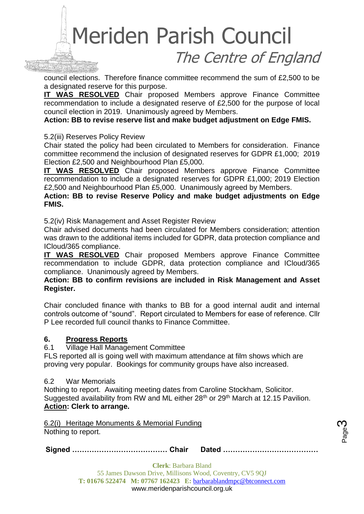council elections. Therefore finance committee recommend the sum of £2,500 to be a designated reserve for this purpose.

**IT WAS RESOLVED** Chair proposed Members approve Finance Committee recommendation to include a designated reserve of £2,500 for the purpose of local council election in 2019. Unanimously agreed by Members.

**Action: BB to revise reserve list and make budget adjustment on Edge FMIS.**

#### 5.2(iii) Reserves Policy Review

Chair stated the policy had been circulated to Members for consideration. Finance committee recommend the inclusion of designated reserves for GDPR £1,000; 2019 Election £2,500 and Neighbourhood Plan £5,000.

**IT WAS RESOLVED** Chair proposed Members approve Finance Committee recommendation to include a designated reserves for GDPR £1,000; 2019 Election £2,500 and Neighbourhood Plan £5,000. Unanimously agreed by Members.

**Action: BB to revise Reserve Policy and make budget adjustments on Edge FMIS.**

5.2(iv) Risk Management and Asset Register Review

Chair advised documents had been circulated for Members consideration; attention was drawn to the additional items included for GDPR, data protection compliance and ICloud/365 compliance.

**IT WAS RESOLVED** Chair proposed Members approve Finance Committee recommendation to include GDPR, data protection compliance and ICloud/365 compliance. Unanimously agreed by Members.

#### **Action: BB to confirm revisions are included in Risk Management and Asset Register.**

Chair concluded finance with thanks to BB for a good internal audit and internal controls outcome of "sound". Report circulated to Members for ease of reference. Cllr P Lee recorded full council thanks to Finance Committee.

#### **6. Progress Reports**

#### 6.1 Village Hall Management Committee

FLS reported all is going well with maximum attendance at film shows which are proving very popular. Bookings for community groups have also increased.

#### 6.2 War Memorials

Nothing to report. Awaiting meeting dates from Caroline Stockham, Solicitor. Suggested availability from RW and ML either 28<sup>th</sup> or 29<sup>th</sup> March at 12.15 Pavilion. **Action: Clerk to arrange.**

6.2(i) Heritage Monuments & Memorial Funding Nothing to report.

**Signed ………………………………… Chair Dated …………………………………**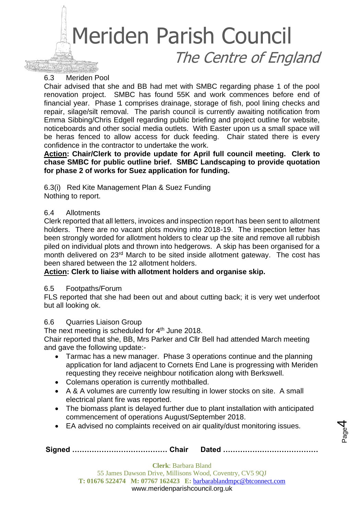#### 6.3 Meriden Pool

Chair advised that she and BB had met with SMBC regarding phase 1 of the pool renovation project. SMBC has found 55K and work commences before end of financial year. Phase 1 comprises drainage, storage of fish, pool lining checks and repair, silage/silt removal. The parish council is currently awaiting notification from Emma Sibbing/Chris Edgell regarding public briefing and project outline for website, noticeboards and other social media outlets. With Easter upon us a small space will be heras fenced to allow access for duck feeding. Chair stated there is every confidence in the contractor to undertake the work.

**Action: Chair/Clerk to provide update for April full council meeting. Clerk to chase SMBC for public outline brief. SMBC Landscaping to provide quotation for phase 2 of works for Suez application for funding.**

6.3(i) Red Kite Management Plan & Suez Funding Nothing to report.

#### 6.4 Allotments

Clerk reported that all letters, invoices and inspection report has been sent to allotment holders. There are no vacant plots moving into 2018-19. The inspection letter has been strongly worded for allotment holders to clear up the site and remove all rubbish piled on individual plots and thrown into hedgerows. A skip has been organised for a month delivered on 23<sup>rd</sup> March to be sited inside allotment gateway. The cost has been shared between the 12 allotment holders.

#### **Action: Clerk to liaise with allotment holders and organise skip.**

#### 6.5 Footpaths/Forum

FLS reported that she had been out and about cutting back; it is very wet underfoot but all looking ok.

#### 6.6 Quarries Liaison Group

The next meeting is scheduled for 4<sup>th</sup> June 2018.

Chair reported that she, BB, Mrs Parker and Cllr Bell had attended March meeting and gave the following update:-

- Tarmac has a new manager. Phase 3 operations continue and the planning application for land adjacent to Cornets End Lane is progressing with Meriden requesting they receive neighbour notification along with Berkswell.
- Colemans operation is currently mothballed.
- A & A volumes are currently low resulting in lower stocks on site. A small electrical plant fire was reported.
- The biomass plant is delayed further due to plant installation with anticipated commencement of operations August/September 2018.

Page 4

• EA advised no complaints received on air quality/dust monitoring issues.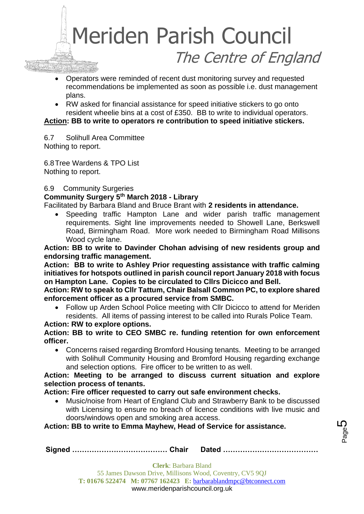- Operators were reminded of recent dust monitoring survey and requested recommendations be implemented as soon as possible i.e. dust management plans.
- RW asked for financial assistance for speed initiative stickers to go onto resident wheelie bins at a cost of £350. BB to write to individual operators.

**Action: BB to write to operators re contribution to speed initiative stickers.**

6.7 Solihull Area Committee Nothing to report.

6.8Tree Wardens & TPO List Nothing to report.

#### 6.9 Community Surgeries

#### **Community Surgery 5th March 2018 - Library**

Facilitated by Barbara Bland and Bruce Brant with **2 residents in attendance.** 

• Speeding traffic Hampton Lane and wider parish traffic management requirements. Sight line improvements needed to Showell Lane, Berkswell Road, Birmingham Road. More work needed to Birmingham Road Millisons Wood cycle lane.

**Action: BB to write to Davinder Chohan advising of new residents group and endorsing traffic management.** 

**Action: BB to write to Ashley Prior requesting assistance with traffic calming initiatives for hotspots outlined in parish council report January 2018 with focus on Hampton Lane. Copies to be circulated to Cllrs Dicicco and Bell.**

**Action: RW to speak to Cllr Tattum, Chair Balsall Common PC, to explore shared enforcement officer as a procured service from SMBC.**

• Follow up Arden School Police meeting with Cllr Dicicco to attend for Meriden residents. All items of passing interest to be called into Rurals Police Team.

#### **Action: RW to explore options.**

#### **Action: BB to write to CEO SMBC re. funding retention for own enforcement officer.**

• Concerns raised regarding Bromford Housing tenants. Meeting to be arranged with Solihull Community Housing and Bromford Housing regarding exchange and selection options. Fire officer to be written to as well.

#### **Action: Meeting to be arranged to discuss current situation and explore selection process of tenants.**

#### **Action: Fire officer requested to carry out safe environment checks.**

• Music/noise from Heart of England Club and Strawberry Bank to be discussed with Licensing to ensure no breach of licence conditions with live music and doors/windows open and smoking area access.

**Action: BB to write to Emma Mayhew, Head of Service for assistance.**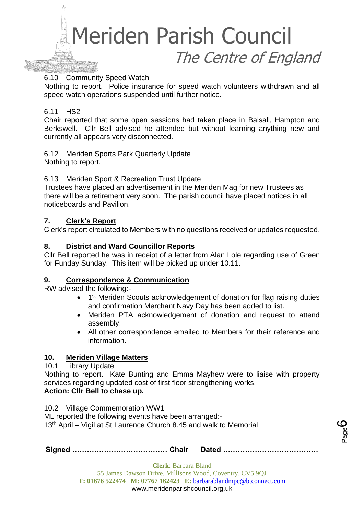

#### 6.10 Community Speed Watch

Nothing to report. Police insurance for speed watch volunteers withdrawn and all speed watch operations suspended until further notice.

#### 6.11 HS2

Chair reported that some open sessions had taken place in Balsall, Hampton and Berkswell. Cllr Bell advised he attended but without learning anything new and currently all appears very disconnected.

6.12 Meriden Sports Park Quarterly Update Nothing to report.

#### 6.13 Meriden Sport & Recreation Trust Update

Trustees have placed an advertisement in the Meriden Mag for new Trustees as there will be a retirement very soon. The parish council have placed notices in all noticeboards and Pavilion.

#### **7. Clerk's Report**

Clerk's report circulated to Members with no questions received or updates requested.

#### **8. District and Ward Councillor Reports**

Cllr Bell reported he was in receipt of a letter from Alan Lole regarding use of Green for Funday Sunday. This item will be picked up under 10.11.

#### **9. Correspondence & Communication**

RW advised the following:-

- 1<sup>st</sup> Meriden Scouts acknowledgement of donation for flag raising duties and confirmation Merchant Navy Day has been added to list.
- Meriden PTA acknowledgement of donation and request to attend assembly.
- All other correspondence emailed to Members for their reference and information.

#### **10. Meriden Village Matters**

#### 10.1 Library Update

Nothing to report. Kate Bunting and Emma Mayhew were to liaise with property services regarding updated cost of first floor strengthening works. **Action: Cllr Bell to chase up.**

10.2 Village Commemoration WW1

ML reported the following events have been arranged:- 13<sup>th</sup> April – Vigil at St Laurence Church 8.45 and walk to Memorial

**Signed ………………………………… Chair Dated …………………………………**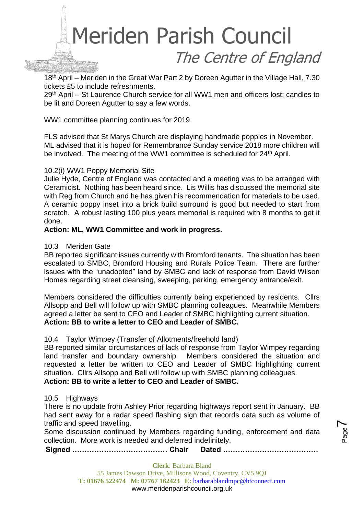

18<sup>th</sup> April – Meriden in the Great War Part 2 by Doreen Agutter in the Village Hall, 7.30 tickets £5 to include refreshments.

29<sup>th</sup> April – St Laurence Church service for all WW1 men and officers lost; candles to be lit and Doreen Agutter to say a few words.

WW1 committee planning continues for 2019.

FLS advised that St Marys Church are displaying handmade poppies in November. ML advised that it is hoped for Remembrance Sunday service 2018 more children will be involved. The meeting of the WW1 committee is scheduled for 24<sup>th</sup> April.

#### 10.2(i) WW1 Poppy Memorial Site

Julie Hyde, Centre of England was contacted and a meeting was to be arranged with Ceramicist. Nothing has been heard since. Lis Willis has discussed the memorial site with Reg from Church and he has given his recommendation for materials to be used. A ceramic poppy inset into a brick build surround is good but needed to start from scratch. A robust lasting 100 plus years memorial is required with 8 months to get it done.

#### **Action: ML, WW1 Committee and work in progress.**

#### 10.3 Meriden Gate

BB reported significant issues currently with Bromford tenants. The situation has been escalated to SMBC, Bromford Housing and Rurals Police Team. There are further issues with the "unadopted" land by SMBC and lack of response from David Wilson Homes regarding street cleansing, sweeping, parking, emergency entrance/exit.

Members considered the difficulties currently being experienced by residents. Cllrs Allsopp and Bell will follow up with SMBC planning colleagues. Meanwhile Members agreed a letter be sent to CEO and Leader of SMBC highlighting current situation. **Action: BB to write a letter to CEO and Leader of SMBC.**

#### 10.4 Taylor Wimpey (Transfer of Allotments/freehold land)

BB reported similar circumstances of lack of response from Taylor Wimpey regarding land transfer and boundary ownership. Members considered the situation and requested a letter be written to CEO and Leader of SMBC highlighting current situation. Cllrs Allsopp and Bell will follow up with SMBC planning colleagues.

#### **Action: BB to write a letter to CEO and Leader of SMBC.**

#### 10.5 Highways

There is no update from Ashley Prior regarding highways report sent in January. BB had sent away for a radar speed flashing sign that records data such as volume of traffic and speed travelling.

Some discussion continued by Members regarding funding, enforcement and data collection. More work is needed and deferred indefinitely.

**Signed ………………………………… Chair Dated …………………………………**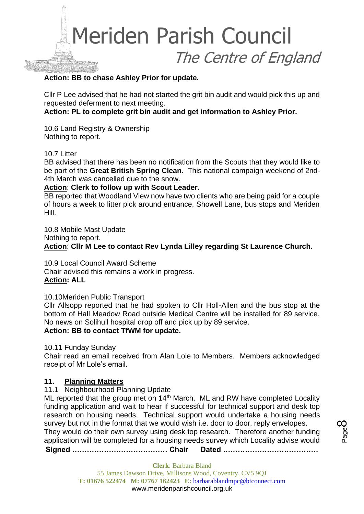

#### **Action: BB to chase Ashley Prior for update.**

Cllr P Lee advised that he had not started the grit bin audit and would pick this up and requested deferment to next meeting.

**Action: PL to complete grit bin audit and get information to Ashley Prior.**

10.6 Land Registry & Ownership Nothing to report.

#### 10.7 Litter

BB advised that there has been no notification from the Scouts that they would like to be part of the **Great British Spring Clean**. This national campaign weekend of 2nd-4th March was cancelled due to the snow.

#### **Action**: **Clerk to follow up with Scout Leader.**

BB reported that Woodland View now have two clients who are being paid for a couple of hours a week to litter pick around entrance, Showell Lane, bus stops and Meriden Hill.

10.8 Mobile Mast Update

Nothing to report.

**Action**: **Cllr M Lee to contact Rev Lynda Lilley regarding St Laurence Church.**

10.9 Local Council Award Scheme Chair advised this remains a work in progress. **Action: ALL**

10.10Meriden Public Transport

Cllr Allsopp reported that he had spoken to Cllr Holl-Allen and the bus stop at the bottom of Hall Meadow Road outside Medical Centre will be installed for 89 service. No news on Solihull hospital drop off and pick up by 89 service.

#### **Action: BB to contact TfWM for update.**

#### 10.11 Funday Sunday

Chair read an email received from Alan Lole to Members. Members acknowledged receipt of Mr Lole's email.

#### **11. Planning Matters**

#### 11.1 Neighbourhood Planning Update

ML reported that the group met on 14<sup>th</sup> March. ML and RW have completed Locality funding application and wait to hear if successful for technical support and desk top research on housing needs. Technical support would undertake a housing needs survey but not in the format that we would wish i.e. door to door, reply envelopes. They would do their own survey using desk top research. Therefore another funding application will be completed for a housing needs survey which Locality advise would

**Signed ………………………………… Chair Dated …………………………………**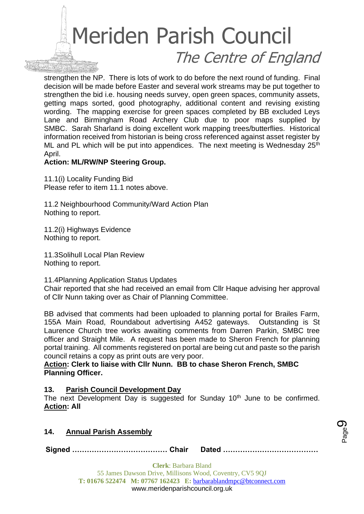

strengthen the NP. There is lots of work to do before the next round of funding. Final decision will be made before Easter and several work streams may be put together to strengthen the bid i.e. housing needs survey, open green spaces, community assets, getting maps sorted, good photography, additional content and revising existing wording. The mapping exercise for green spaces completed by BB excluded Leys Lane and Birmingham Road Archery Club due to poor maps supplied by SMBC. Sarah Sharland is doing excellent work mapping trees/butterflies. Historical information received from historian is being cross referenced against asset register by ML and PL which will be put into appendices. The next meeting is Wednesday  $25<sup>th</sup>$ April.

#### **Action: ML/RW/NP Steering Group.**

11.1(i) Locality Funding Bid Please refer to item 11.1 notes above.

11.2 Neighbourhood Community/Ward Action Plan Nothing to report.

11.2(i) Highways Evidence Nothing to report.

11.3Solihull Local Plan Review Nothing to report.

11.4Planning Application Status Updates

Chair reported that she had received an email from Cllr Haque advising her approval of Cllr Nunn taking over as Chair of Planning Committee.

BB advised that comments had been uploaded to planning portal for Brailes Farm, 155A Main Road, Roundabout advertising A452 gateways. Outstanding is St Laurence Church tree works awaiting comments from Darren Parkin, SMBC tree officer and Straight Mile. A request has been made to Sheron French for planning portal training. All comments registered on portal are being cut and paste so the parish council retains a copy as print outs are very poor.

#### **Action: Clerk to liaise with Cllr Nunn. BB to chase Sheron French, SMBC Planning Officer.**

#### **13. Parish Council Development Day**

The next Development Day is suggested for Sunday 10<sup>th</sup> June to be confirmed. **Action: All**

#### **14. Annual Parish Assembly**

**Signed ………………………………… Chair Dated …………………………………**

Page ග